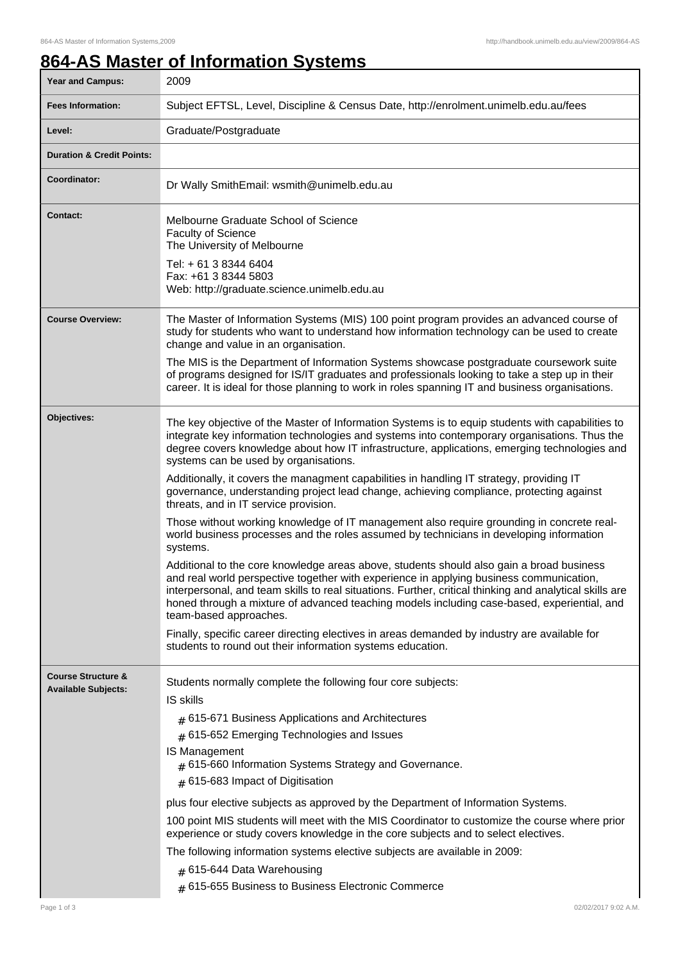1

## **864-AS Master of Information Systems**

| 2009                                                                                                                                                                                                                                                                                                                                                                                                                                                                                                                                                                                                                                                                                                                                                                                                                                                                                                                                                                                                                                                                                                                                                                                                                                                                                                                                                                   |  |  |
|------------------------------------------------------------------------------------------------------------------------------------------------------------------------------------------------------------------------------------------------------------------------------------------------------------------------------------------------------------------------------------------------------------------------------------------------------------------------------------------------------------------------------------------------------------------------------------------------------------------------------------------------------------------------------------------------------------------------------------------------------------------------------------------------------------------------------------------------------------------------------------------------------------------------------------------------------------------------------------------------------------------------------------------------------------------------------------------------------------------------------------------------------------------------------------------------------------------------------------------------------------------------------------------------------------------------------------------------------------------------|--|--|
| Subject EFTSL, Level, Discipline & Census Date, http://enrolment.unimelb.edu.au/fees                                                                                                                                                                                                                                                                                                                                                                                                                                                                                                                                                                                                                                                                                                                                                                                                                                                                                                                                                                                                                                                                                                                                                                                                                                                                                   |  |  |
| Graduate/Postgraduate                                                                                                                                                                                                                                                                                                                                                                                                                                                                                                                                                                                                                                                                                                                                                                                                                                                                                                                                                                                                                                                                                                                                                                                                                                                                                                                                                  |  |  |
|                                                                                                                                                                                                                                                                                                                                                                                                                                                                                                                                                                                                                                                                                                                                                                                                                                                                                                                                                                                                                                                                                                                                                                                                                                                                                                                                                                        |  |  |
| Dr Wally SmithEmail: wsmith@unimelb.edu.au                                                                                                                                                                                                                                                                                                                                                                                                                                                                                                                                                                                                                                                                                                                                                                                                                                                                                                                                                                                                                                                                                                                                                                                                                                                                                                                             |  |  |
| Melbourne Graduate School of Science<br><b>Faculty of Science</b><br>The University of Melbourne<br>Tel: + 61 3 8344 6404<br>Fax: +61 3 8344 5803<br>Web: http://graduate.science.unimelb.edu.au                                                                                                                                                                                                                                                                                                                                                                                                                                                                                                                                                                                                                                                                                                                                                                                                                                                                                                                                                                                                                                                                                                                                                                       |  |  |
| The Master of Information Systems (MIS) 100 point program provides an advanced course of<br>study for students who want to understand how information technology can be used to create<br>change and value in an organisation.<br>The MIS is the Department of Information Systems showcase postgraduate coursework suite<br>of programs designed for IS/IT graduates and professionals looking to take a step up in their<br>career. It is ideal for those planning to work in roles spanning IT and business organisations.                                                                                                                                                                                                                                                                                                                                                                                                                                                                                                                                                                                                                                                                                                                                                                                                                                          |  |  |
| The key objective of the Master of Information Systems is to equip students with capabilities to<br>integrate key information technologies and systems into contemporary organisations. Thus the<br>degree covers knowledge about how IT infrastructure, applications, emerging technologies and<br>systems can be used by organisations.<br>Additionally, it covers the managment capabilities in handling IT strategy, providing IT<br>governance, understanding project lead change, achieving compliance, protecting against<br>threats, and in IT service provision.<br>Those without working knowledge of IT management also require grounding in concrete real-<br>world business processes and the roles assumed by technicians in developing information<br>systems.<br>Additional to the core knowledge areas above, students should also gain a broad business<br>and real world perspective together with experience in applying business communication,<br>interpersonal, and team skills to real situations. Further, critical thinking and analytical skills are<br>honed through a mixture of advanced teaching models including case-based, experiential, and<br>team-based approaches.<br>Finally, specific career directing electives in areas demanded by industry are available for<br>students to round out their information systems education. |  |  |
| Students normally complete the following four core subjects:<br><b>IS skills</b><br>$#$ 615-671 Business Applications and Architectures<br>$#$ 615-652 Emerging Technologies and Issues<br>IS Management<br>$#$ 615-660 Information Systems Strategy and Governance.<br>$#$ 615-683 Impact of Digitisation<br>plus four elective subjects as approved by the Department of Information Systems.<br>100 point MIS students will meet with the MIS Coordinator to customize the course where prior<br>experience or study covers knowledge in the core subjects and to select electives.<br>The following information systems elective subjects are available in 2009:<br># 615-644 Data Warehousing<br># 615-655 Business to Business Electronic Commerce<br>02/02/2017 9:02 A.M.                                                                                                                                                                                                                                                                                                                                                                                                                                                                                                                                                                                       |  |  |
|                                                                                                                                                                                                                                                                                                                                                                                                                                                                                                                                                                                                                                                                                                                                                                                                                                                                                                                                                                                                                                                                                                                                                                                                                                                                                                                                                                        |  |  |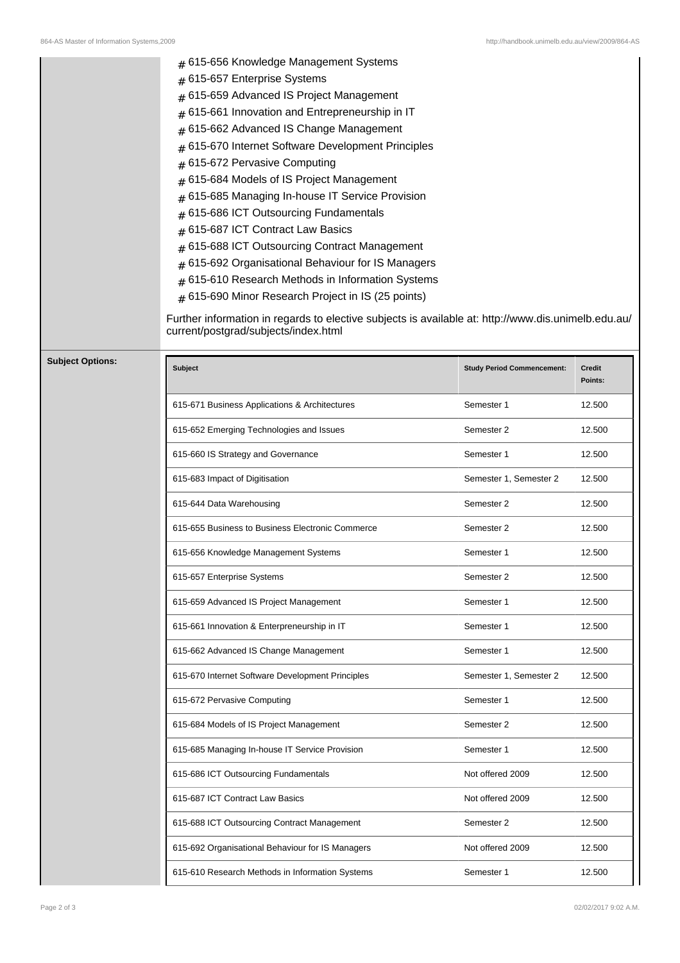|                         | # 615-656 Knowledge Management Systems<br>615-657 Enterprise Systems<br>#<br>615-659 Advanced IS Project Management<br>#<br>615-661 Innovation and Entrepreneurship in IT<br>615-662 Advanced IS Change Management<br>#<br>615-670 Internet Software Development Principles<br>615-672 Pervasive Computing<br>$\pm$<br>615-684 Models of IS Project Management<br>615-685 Managing In-house IT Service Provision<br>#<br>615-686 ICT Outsourcing Fundamentals<br>615-687 ICT Contract Law Basics<br>#<br>615-688 ICT Outsourcing Contract Management<br>615-692 Organisational Behaviour for IS Managers<br>615-610 Research Methods in Information Systems<br>615-690 Minor Research Project in IS (25 points)<br>#<br>Further information in regards to elective subjects is available at: http://www.dis.unimelb.edu.au/<br>current/postgrad/subjects/index.html |                                   |                   |
|-------------------------|---------------------------------------------------------------------------------------------------------------------------------------------------------------------------------------------------------------------------------------------------------------------------------------------------------------------------------------------------------------------------------------------------------------------------------------------------------------------------------------------------------------------------------------------------------------------------------------------------------------------------------------------------------------------------------------------------------------------------------------------------------------------------------------------------------------------------------------------------------------------|-----------------------------------|-------------------|
| <b>Subject Options:</b> | <b>Subject</b>                                                                                                                                                                                                                                                                                                                                                                                                                                                                                                                                                                                                                                                                                                                                                                                                                                                      | <b>Study Period Commencement:</b> | Credit<br>Points: |
|                         | 615-671 Business Applications & Architectures                                                                                                                                                                                                                                                                                                                                                                                                                                                                                                                                                                                                                                                                                                                                                                                                                       | Semester 1                        | 12.500            |
|                         | 615-652 Emerging Technologies and Issues                                                                                                                                                                                                                                                                                                                                                                                                                                                                                                                                                                                                                                                                                                                                                                                                                            | Semester 2                        | 12.500            |
|                         | 615-660 IS Strategy and Governance                                                                                                                                                                                                                                                                                                                                                                                                                                                                                                                                                                                                                                                                                                                                                                                                                                  | Semester 1                        | 12.500            |
|                         | 615-683 Impact of Digitisation                                                                                                                                                                                                                                                                                                                                                                                                                                                                                                                                                                                                                                                                                                                                                                                                                                      | Semester 1, Semester 2            | 12.500            |
|                         | 615-644 Data Warehousing                                                                                                                                                                                                                                                                                                                                                                                                                                                                                                                                                                                                                                                                                                                                                                                                                                            | Semester 2                        | 12.500            |
|                         | 615-655 Business to Business Electronic Commerce                                                                                                                                                                                                                                                                                                                                                                                                                                                                                                                                                                                                                                                                                                                                                                                                                    | Semester 2                        | 12.500            |
|                         | 615-656 Knowledge Management Systems                                                                                                                                                                                                                                                                                                                                                                                                                                                                                                                                                                                                                                                                                                                                                                                                                                | Semester 1                        | 12.500            |
|                         | 615-657 Enterprise Systems                                                                                                                                                                                                                                                                                                                                                                                                                                                                                                                                                                                                                                                                                                                                                                                                                                          | Semester 2                        | 12.500            |
|                         | 615-659 Advanced IS Project Management                                                                                                                                                                                                                                                                                                                                                                                                                                                                                                                                                                                                                                                                                                                                                                                                                              | Semester 1                        | 12.500            |
|                         | 615-661 Innovation & Enterpreneurship in IT                                                                                                                                                                                                                                                                                                                                                                                                                                                                                                                                                                                                                                                                                                                                                                                                                         | Semester 1                        | 12.500            |
|                         | 615-662 Advanced IS Change Management                                                                                                                                                                                                                                                                                                                                                                                                                                                                                                                                                                                                                                                                                                                                                                                                                               | Semester 1                        | 12.500            |
|                         | 615-670 Internet Software Development Principles                                                                                                                                                                                                                                                                                                                                                                                                                                                                                                                                                                                                                                                                                                                                                                                                                    | Semester 1, Semester 2            | 12.500            |
|                         | 615-672 Pervasive Computing                                                                                                                                                                                                                                                                                                                                                                                                                                                                                                                                                                                                                                                                                                                                                                                                                                         | Semester 1                        | 12.500            |
|                         | 615-684 Models of IS Project Management                                                                                                                                                                                                                                                                                                                                                                                                                                                                                                                                                                                                                                                                                                                                                                                                                             | Semester 2                        | 12.500            |
|                         | 615-685 Managing In-house IT Service Provision                                                                                                                                                                                                                                                                                                                                                                                                                                                                                                                                                                                                                                                                                                                                                                                                                      | Semester 1                        | 12.500            |
|                         | 615-686 ICT Outsourcing Fundamentals                                                                                                                                                                                                                                                                                                                                                                                                                                                                                                                                                                                                                                                                                                                                                                                                                                | Not offered 2009                  | 12.500            |
|                         | 615-687 ICT Contract Law Basics                                                                                                                                                                                                                                                                                                                                                                                                                                                                                                                                                                                                                                                                                                                                                                                                                                     | Not offered 2009                  | 12.500            |
|                         | 615-688 ICT Outsourcing Contract Management                                                                                                                                                                                                                                                                                                                                                                                                                                                                                                                                                                                                                                                                                                                                                                                                                         | Semester 2                        | 12.500            |
|                         | 615-692 Organisational Behaviour for IS Managers                                                                                                                                                                                                                                                                                                                                                                                                                                                                                                                                                                                                                                                                                                                                                                                                                    | Not offered 2009                  | 12.500            |
|                         | 615-610 Research Methods in Information Systems                                                                                                                                                                                                                                                                                                                                                                                                                                                                                                                                                                                                                                                                                                                                                                                                                     | Semester 1                        | 12.500            |